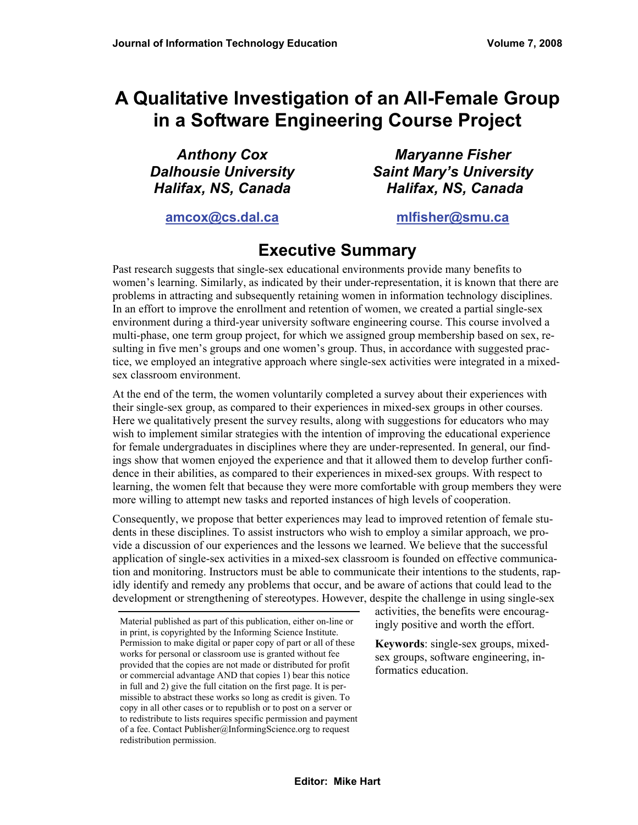# **A Qualitative Investigation of an All-Female Group in a Software Engineering Course Project**

*Anthony Cox Dalhousie University Halifax, NS, Canada* 

*Maryanne Fisher Saint Mary's University Halifax, NS, Canada*

**[amcox@cs.dal.ca](mailto:Author2Email@address.edu)**

#### **[mlfisher@smu.ca](mailto:Author1Email@address.edu)**

# **Executive Summary**

Past research suggests that single-sex educational environments provide many benefits to women's learning. Similarly, as indicated by their under-representation, it is known that there are problems in attracting and subsequently retaining women in information technology disciplines. In an effort to improve the enrollment and retention of women, we created a partial single-sex environment during a third-year university software engineering course. This course involved a multi-phase, one term group project, for which we assigned group membership based on sex, resulting in five men's groups and one women's group. Thus, in accordance with suggested practice, we employed an integrative approach where single-sex activities were integrated in a mixedsex classroom environment.

At the end of the term, the women voluntarily completed a survey about their experiences with their single-sex group, as compared to their experiences in mixed-sex groups in other courses. Here we qualitatively present the survey results, along with suggestions for educators who may wish to implement similar strategies with the intention of improving the educational experience for female undergraduates in disciplines where they are under-represented. In general, our findings show that women enjoyed the experience and that it allowed them to develop further confidence in their abilities, as compared to their experiences in mixed-sex groups. With respect to learning, the women felt that because they were more comfortable with group members they were more willing to attempt new tasks and reported instances of high levels of cooperation.

Consequently, we propose that better experiences may lead to improved retention of female students in these disciplines. To assist instructors who wish to employ a similar approach, we provide a discussion of our experiences and the lessons we learned. We believe that the successful application of single-sex activities in a mixed-sex classroom is founded on effective communication and monitoring. Instructors must be able to communicate their intentions to the students, rapidly identify and remedy any problems that occur, and be aware of actions that could lead to the development or strengthening of stereotypes. However, despite the challenge in using single-sex

activities, the benefits were encouragingly positive and worth the effort.

**Keywords**: single-sex groups, mixedsex groups, software engineering, informatics education.

Material published as part of this publication, either on-line or in print, is copyrighted by the Informing Science Institute. Permission to make digital or paper copy of part or all of these works for personal or classroom use is granted without fee provided that the copies are not made or distributed for profit or commercial advantage AND that copies 1) bear this notice in full and 2) give the full citation on the first page. It is permissible to abstract these works so long as credit is given. To copy in all other cases or to republish or to post on a server or to redistribute to lists requires specific permission and payment of a fee. Contact Publisher@InformingScience.org to request redistribution permission.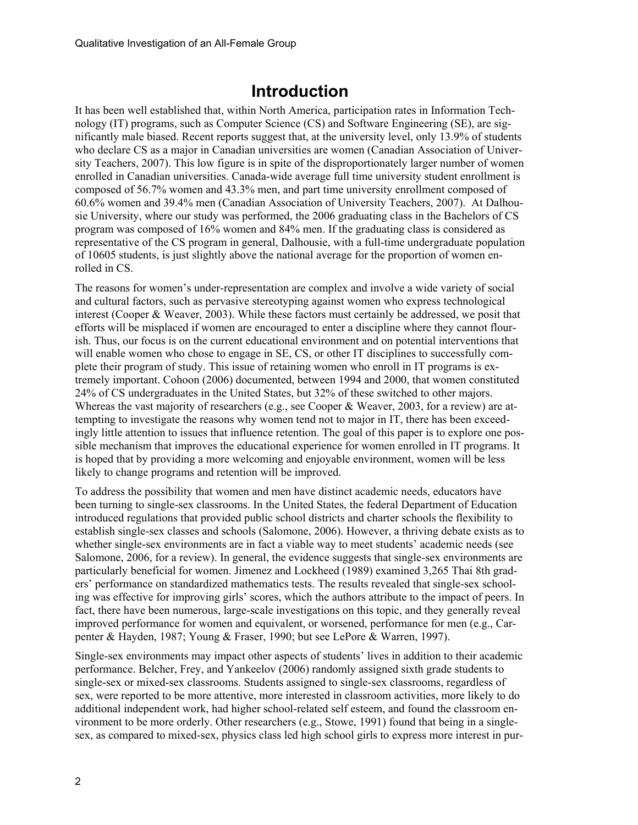# **Introduction**

It has been well established that, within North America, participation rates in Information Technology (IT) programs, such as Computer Science (CS) and Software Engineering (SE), are significantly male biased. Recent reports suggest that, at the university level, only 13.9% of students who declare CS as a major in Canadian universities are women (Canadian Association of University Teachers, 2007). This low figure is in spite of the disproportionately larger number of women enrolled in Canadian universities. Canada-wide average full time university student enrollment is composed of 56.7% women and 43.3% men, and part time university enrollment composed of 60.6% women and 39.4% men (Canadian Association of University Teachers, 2007). At Dalhousie University, where our study was performed, the 2006 graduating class in the Bachelors of CS program was composed of 16% women and 84% men. If the graduating class is considered as representative of the CS program in general, Dalhousie, with a full-time undergraduate population of 10605 students, is just slightly above the national average for the proportion of women enrolled in CS.

The reasons for women's under-representation are complex and involve a wide variety of social and cultural factors, such as pervasive stereotyping against women who express technological interest (Cooper & Weaver, 2003). While these factors must certainly be addressed, we posit that efforts will be misplaced if women are encouraged to enter a discipline where they cannot flourish. Thus, our focus is on the current educational environment and on potential interventions that will enable women who chose to engage in SE, CS, or other IT disciplines to successfully complete their program of study. This issue of retaining women who enroll in IT programs is extremely important. Cohoon (2006) documented, between 1994 and 2000, that women constituted 24% of CS undergraduates in the United States, but 32% of these switched to other majors. Whereas the vast majority of researchers (e.g., see Cooper & Weaver, 2003, for a review) are attempting to investigate the reasons why women tend not to major in IT, there has been exceedingly little attention to issues that influence retention. The goal of this paper is to explore one possible mechanism that improves the educational experience for women enrolled in IT programs. It is hoped that by providing a more welcoming and enjoyable environment, women will be less likely to change programs and retention will be improved.

To address the possibility that women and men have distinct academic needs, educators have been turning to single-sex classrooms. In the United States, the federal Department of Education introduced regulations that provided public school districts and charter schools the flexibility to establish single-sex classes and schools (Salomone, 2006). However, a thriving debate exists as to whether single-sex environments are in fact a viable way to meet students' academic needs (see Salomone, 2006, for a review). In general, the evidence suggests that single-sex environments are particularly beneficial for women. Jimenez and Lockheed (1989) examined 3,265 Thai 8th graders' performance on standardized mathematics tests. The results revealed that single-sex schooling was effective for improving girls' scores, which the authors attribute to the impact of peers. In fact, there have been numerous, large-scale investigations on this topic, and they generally reveal improved performance for women and equivalent, or worsened, performance for men (e.g., Carpenter & Hayden, 1987; Young & Fraser, 1990; but see LePore & Warren, 1997).

Single-sex environments may impact other aspects of students' lives in addition to their academic performance. Belcher, Frey, and Yankeelov (2006) randomly assigned sixth grade students to single-sex or mixed-sex classrooms. Students assigned to single-sex classrooms, regardless of sex, were reported to be more attentive, more interested in classroom activities, more likely to do additional independent work, had higher school-related self esteem, and found the classroom environment to be more orderly. Other researchers (e.g., Stowe, 1991) found that being in a singlesex, as compared to mixed-sex, physics class led high school girls to express more interest in pur-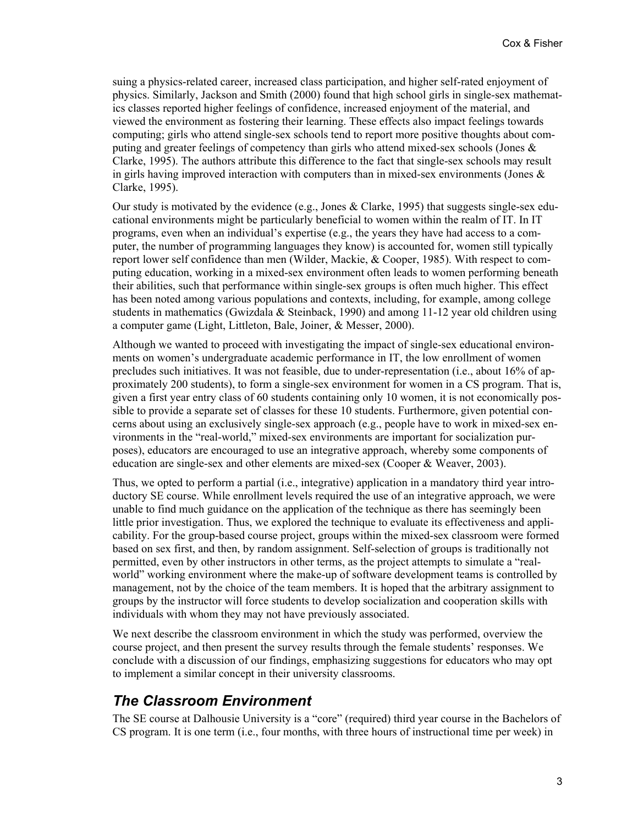suing a physics-related career, increased class participation, and higher self-rated enjoyment of physics. Similarly, Jackson and Smith (2000) found that high school girls in single-sex mathematics classes reported higher feelings of confidence, increased enjoyment of the material, and viewed the environment as fostering their learning. These effects also impact feelings towards computing; girls who attend single-sex schools tend to report more positive thoughts about computing and greater feelings of competency than girls who attend mixed-sex schools (Jones & Clarke, 1995). The authors attribute this difference to the fact that single-sex schools may result in girls having improved interaction with computers than in mixed-sex environments (Jones & Clarke, 1995).

Our study is motivated by the evidence (e.g., Jones & Clarke, 1995) that suggests single-sex educational environments might be particularly beneficial to women within the realm of IT. In IT programs, even when an individual's expertise (e.g., the years they have had access to a computer, the number of programming languages they know) is accounted for, women still typically report lower self confidence than men (Wilder, Mackie, & Cooper, 1985). With respect to computing education, working in a mixed-sex environment often leads to women performing beneath their abilities, such that performance within single-sex groups is often much higher. This effect has been noted among various populations and contexts, including, for example, among college students in mathematics (Gwizdala & Steinback, 1990) and among 11-12 year old children using a computer game (Light, Littleton, Bale, Joiner, & Messer, 2000).

Although we wanted to proceed with investigating the impact of single-sex educational environments on women's undergraduate academic performance in IT, the low enrollment of women precludes such initiatives. It was not feasible, due to under-representation (i.e., about 16% of approximately 200 students), to form a single-sex environment for women in a CS program. That is, given a first year entry class of 60 students containing only 10 women, it is not economically possible to provide a separate set of classes for these 10 students. Furthermore, given potential concerns about using an exclusively single-sex approach (e.g., people have to work in mixed-sex environments in the "real-world," mixed-sex environments are important for socialization purposes), educators are encouraged to use an integrative approach, whereby some components of education are single-sex and other elements are mixed-sex (Cooper & Weaver, 2003).

Thus, we opted to perform a partial (i.e., integrative) application in a mandatory third year introductory SE course. While enrollment levels required the use of an integrative approach, we were unable to find much guidance on the application of the technique as there has seemingly been little prior investigation. Thus, we explored the technique to evaluate its effectiveness and applicability. For the group-based course project, groups within the mixed-sex classroom were formed based on sex first, and then, by random assignment. Self-selection of groups is traditionally not permitted, even by other instructors in other terms, as the project attempts to simulate a "realworld" working environment where the make-up of software development teams is controlled by management, not by the choice of the team members. It is hoped that the arbitrary assignment to groups by the instructor will force students to develop socialization and cooperation skills with individuals with whom they may not have previously associated.

We next describe the classroom environment in which the study was performed, overview the course project, and then present the survey results through the female students' responses. We conclude with a discussion of our findings, emphasizing suggestions for educators who may opt to implement a similar concept in their university classrooms.

#### *The Classroom Environment*

The SE course at Dalhousie University is a "core" (required) third year course in the Bachelors of CS program. It is one term (i.e., four months, with three hours of instructional time per week) in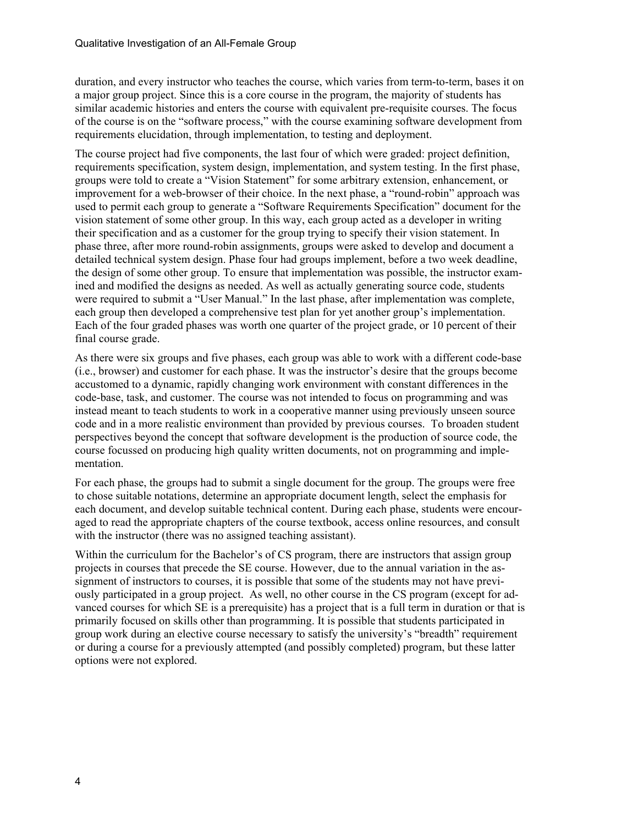duration, and every instructor who teaches the course, which varies from term-to-term, bases it on a major group project. Since this is a core course in the program, the majority of students has similar academic histories and enters the course with equivalent pre-requisite courses. The focus of the course is on the "software process," with the course examining software development from requirements elucidation, through implementation, to testing and deployment.

The course project had five components, the last four of which were graded: project definition, requirements specification, system design, implementation, and system testing. In the first phase, groups were told to create a "Vision Statement" for some arbitrary extension, enhancement, or improvement for a web-browser of their choice. In the next phase, a "round-robin" approach was used to permit each group to generate a "Software Requirements Specification" document for the vision statement of some other group. In this way, each group acted as a developer in writing their specification and as a customer for the group trying to specify their vision statement. In phase three, after more round-robin assignments, groups were asked to develop and document a detailed technical system design. Phase four had groups implement, before a two week deadline, the design of some other group. To ensure that implementation was possible, the instructor examined and modified the designs as needed. As well as actually generating source code, students were required to submit a "User Manual." In the last phase, after implementation was complete, each group then developed a comprehensive test plan for yet another group's implementation. Each of the four graded phases was worth one quarter of the project grade, or 10 percent of their final course grade.

As there were six groups and five phases, each group was able to work with a different code-base (i.e., browser) and customer for each phase. It was the instructor's desire that the groups become accustomed to a dynamic, rapidly changing work environment with constant differences in the code-base, task, and customer. The course was not intended to focus on programming and was instead meant to teach students to work in a cooperative manner using previously unseen source code and in a more realistic environment than provided by previous courses. To broaden student perspectives beyond the concept that software development is the production of source code, the course focussed on producing high quality written documents, not on programming and implementation.

For each phase, the groups had to submit a single document for the group. The groups were free to chose suitable notations, determine an appropriate document length, select the emphasis for each document, and develop suitable technical content. During each phase, students were encouraged to read the appropriate chapters of the course textbook, access online resources, and consult with the instructor (there was no assigned teaching assistant).

Within the curriculum for the Bachelor's of CS program, there are instructors that assign group projects in courses that precede the SE course. However, due to the annual variation in the assignment of instructors to courses, it is possible that some of the students may not have previously participated in a group project. As well, no other course in the CS program (except for advanced courses for which SE is a prerequisite) has a project that is a full term in duration or that is primarily focused on skills other than programming. It is possible that students participated in group work during an elective course necessary to satisfy the university's "breadth" requirement or during a course for a previously attempted (and possibly completed) program, but these latter options were not explored.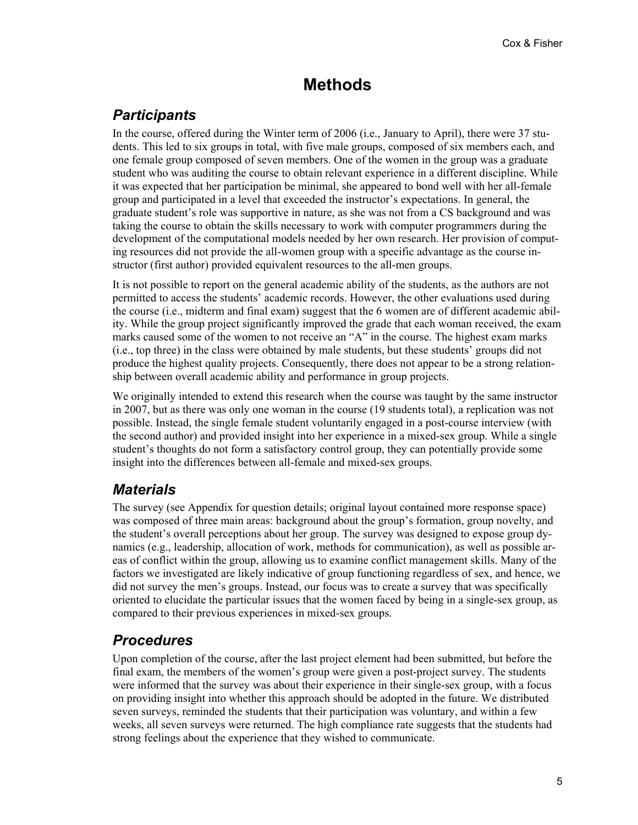# **Methods**

# *Participants*

In the course, offered during the Winter term of 2006 (i.e., January to April), there were 37 students. This led to six groups in total, with five male groups, composed of six members each, and one female group composed of seven members. One of the women in the group was a graduate student who was auditing the course to obtain relevant experience in a different discipline. While it was expected that her participation be minimal, she appeared to bond well with her all-female group and participated in a level that exceeded the instructor's expectations. In general, the graduate student's role was supportive in nature, as she was not from a CS background and was taking the course to obtain the skills necessary to work with computer programmers during the development of the computational models needed by her own research. Her provision of computing resources did not provide the all-women group with a specific advantage as the course instructor (first author) provided equivalent resources to the all-men groups.

It is not possible to report on the general academic ability of the students, as the authors are not permitted to access the students' academic records. However, the other evaluations used during the course (i.e., midterm and final exam) suggest that the 6 women are of different academic ability. While the group project significantly improved the grade that each woman received, the exam marks caused some of the women to not receive an "A" in the course. The highest exam marks (i.e., top three) in the class were obtained by male students, but these students' groups did not produce the highest quality projects. Consequently, there does not appear to be a strong relationship between overall academic ability and performance in group projects.

We originally intended to extend this research when the course was taught by the same instructor in 2007, but as there was only one woman in the course (19 students total), a replication was not possible. Instead, the single female student voluntarily engaged in a post-course interview (with the second author) and provided insight into her experience in a mixed-sex group. While a single student's thoughts do not form a satisfactory control group, they can potentially provide some insight into the differences between all-female and mixed-sex groups.

## *Materials*

The survey (see Appendix for question details; original layout contained more response space) was composed of three main areas: background about the group's formation, group novelty, and the student's overall perceptions about her group. The survey was designed to expose group dynamics (e.g., leadership, allocation of work, methods for communication), as well as possible areas of conflict within the group, allowing us to examine conflict management skills. Many of the factors we investigated are likely indicative of group functioning regardless of sex, and hence, we did not survey the men's groups. Instead, our focus was to create a survey that was specifically oriented to elucidate the particular issues that the women faced by being in a single-sex group, as compared to their previous experiences in mixed-sex groups.

## *Procedures*

Upon completion of the course, after the last project element had been submitted, but before the final exam, the members of the women's group were given a post-project survey. The students were informed that the survey was about their experience in their single-sex group, with a focus on providing insight into whether this approach should be adopted in the future. We distributed seven surveys, reminded the students that their participation was voluntary, and within a few weeks, all seven surveys were returned. The high compliance rate suggests that the students had strong feelings about the experience that they wished to communicate.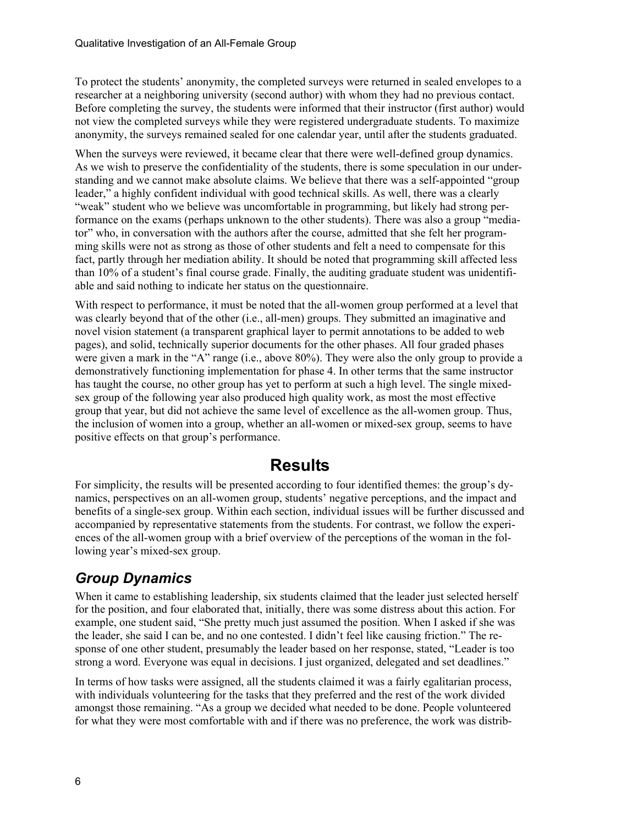To protect the students' anonymity, the completed surveys were returned in sealed envelopes to a researcher at a neighboring university (second author) with whom they had no previous contact. Before completing the survey, the students were informed that their instructor (first author) would not view the completed surveys while they were registered undergraduate students. To maximize anonymity, the surveys remained sealed for one calendar year, until after the students graduated.

When the surveys were reviewed, it became clear that there were well-defined group dynamics. As we wish to preserve the confidentiality of the students, there is some speculation in our understanding and we cannot make absolute claims. We believe that there was a self-appointed "group leader," a highly confident individual with good technical skills. As well, there was a clearly "weak" student who we believe was uncomfortable in programming, but likely had strong performance on the exams (perhaps unknown to the other students). There was also a group "mediator" who, in conversation with the authors after the course, admitted that she felt her programming skills were not as strong as those of other students and felt a need to compensate for this fact, partly through her mediation ability. It should be noted that programming skill affected less than 10% of a student's final course grade. Finally, the auditing graduate student was unidentifiable and said nothing to indicate her status on the questionnaire.

With respect to performance, it must be noted that the all-women group performed at a level that was clearly beyond that of the other (i.e., all-men) groups. They submitted an imaginative and novel vision statement (a transparent graphical layer to permit annotations to be added to web pages), and solid, technically superior documents for the other phases. All four graded phases were given a mark in the "A" range (i.e., above 80%). They were also the only group to provide a demonstratively functioning implementation for phase 4. In other terms that the same instructor has taught the course, no other group has yet to perform at such a high level. The single mixedsex group of the following year also produced high quality work, as most the most effective group that year, but did not achieve the same level of excellence as the all-women group. Thus, the inclusion of women into a group, whether an all-women or mixed-sex group, seems to have positive effects on that group's performance.

# **Results**

For simplicity, the results will be presented according to four identified themes: the group's dynamics, perspectives on an all-women group, students' negative perceptions, and the impact and benefits of a single-sex group. Within each section, individual issues will be further discussed and accompanied by representative statements from the students. For contrast, we follow the experiences of the all-women group with a brief overview of the perceptions of the woman in the following year's mixed-sex group.

# *Group Dynamics*

When it came to establishing leadership, six students claimed that the leader just selected herself for the position, and four elaborated that, initially, there was some distress about this action. For example, one student said, "She pretty much just assumed the position. When I asked if she was the leader, she said I can be, and no one contested. I didn't feel like causing friction." The response of one other student, presumably the leader based on her response, stated, "Leader is too strong a word. Everyone was equal in decisions. I just organized, delegated and set deadlines."

In terms of how tasks were assigned, all the students claimed it was a fairly egalitarian process, with individuals volunteering for the tasks that they preferred and the rest of the work divided amongst those remaining. "As a group we decided what needed to be done. People volunteered for what they were most comfortable with and if there was no preference, the work was distrib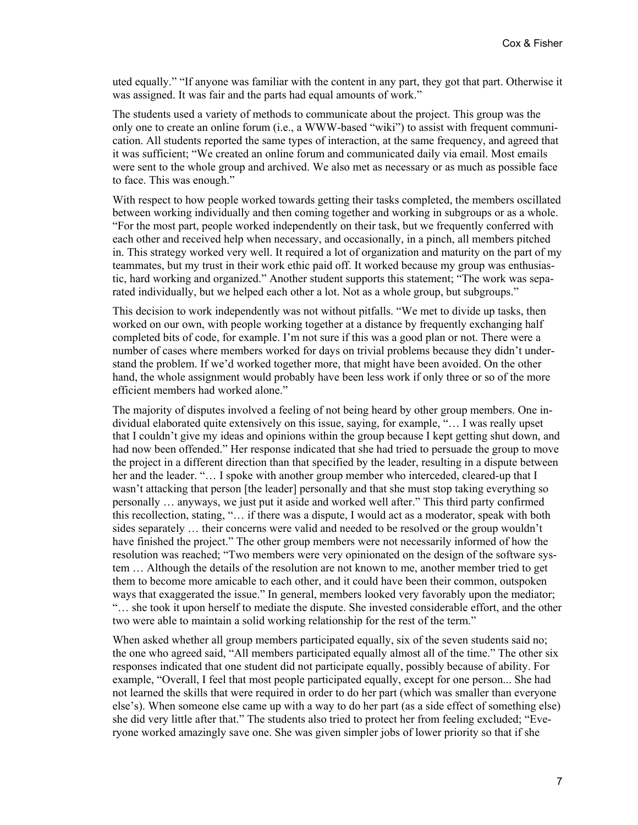uted equally." "If anyone was familiar with the content in any part, they got that part. Otherwise it was assigned. It was fair and the parts had equal amounts of work."

The students used a variety of methods to communicate about the project. This group was the only one to create an online forum (i.e., a WWW-based "wiki") to assist with frequent communication. All students reported the same types of interaction, at the same frequency, and agreed that it was sufficient; "We created an online forum and communicated daily via email. Most emails were sent to the whole group and archived. We also met as necessary or as much as possible face to face. This was enough."

With respect to how people worked towards getting their tasks completed, the members oscillated between working individually and then coming together and working in subgroups or as a whole. "For the most part, people worked independently on their task, but we frequently conferred with each other and received help when necessary, and occasionally, in a pinch, all members pitched in. This strategy worked very well. It required a lot of organization and maturity on the part of my teammates, but my trust in their work ethic paid off. It worked because my group was enthusiastic, hard working and organized." Another student supports this statement; "The work was separated individually, but we helped each other a lot. Not as a whole group, but subgroups."

This decision to work independently was not without pitfalls. "We met to divide up tasks, then worked on our own, with people working together at a distance by frequently exchanging half completed bits of code, for example. I'm not sure if this was a good plan or not. There were a number of cases where members worked for days on trivial problems because they didn't understand the problem. If we'd worked together more, that might have been avoided. On the other hand, the whole assignment would probably have been less work if only three or so of the more efficient members had worked alone."

The majority of disputes involved a feeling of not being heard by other group members. One individual elaborated quite extensively on this issue, saying, for example, "… I was really upset that I couldn't give my ideas and opinions within the group because I kept getting shut down, and had now been offended." Her response indicated that she had tried to persuade the group to move the project in a different direction than that specified by the leader, resulting in a dispute between her and the leader. "… I spoke with another group member who interceded, cleared-up that I wasn't attacking that person [the leader] personally and that she must stop taking everything so personally … anyways, we just put it aside and worked well after." This third party confirmed this recollection, stating, "… if there was a dispute, I would act as a moderator, speak with both sides separately … their concerns were valid and needed to be resolved or the group wouldn't have finished the project." The other group members were not necessarily informed of how the resolution was reached; "Two members were very opinionated on the design of the software system … Although the details of the resolution are not known to me, another member tried to get them to become more amicable to each other, and it could have been their common, outspoken ways that exaggerated the issue." In general, members looked very favorably upon the mediator; "… she took it upon herself to mediate the dispute. She invested considerable effort, and the other two were able to maintain a solid working relationship for the rest of the term."

When asked whether all group members participated equally, six of the seven students said no; the one who agreed said, "All members participated equally almost all of the time." The other six responses indicated that one student did not participate equally, possibly because of ability. For example, "Overall, I feel that most people participated equally, except for one person... She had not learned the skills that were required in order to do her part (which was smaller than everyone else's). When someone else came up with a way to do her part (as a side effect of something else) she did very little after that." The students also tried to protect her from feeling excluded; "Everyone worked amazingly save one. She was given simpler jobs of lower priority so that if she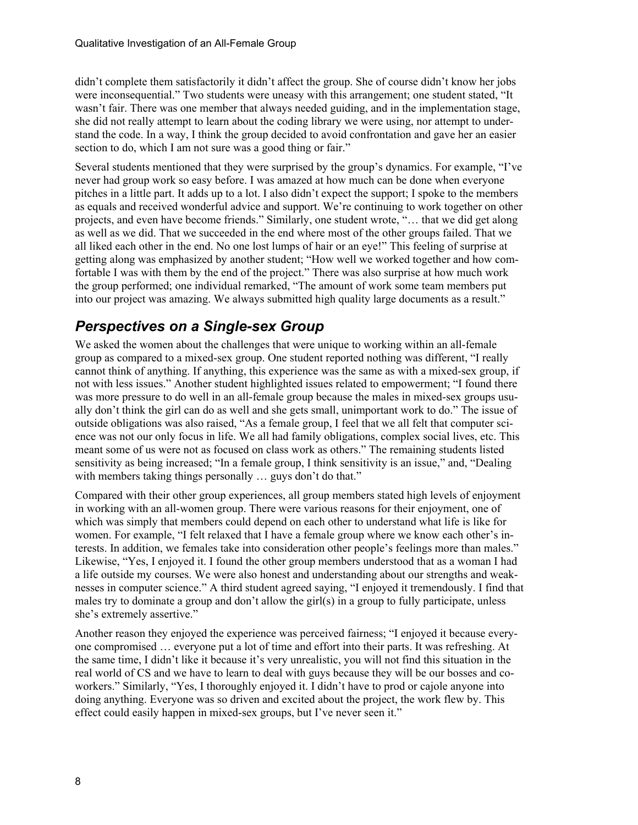didn't complete them satisfactorily it didn't affect the group. She of course didn't know her jobs were inconsequential." Two students were uneasy with this arrangement; one student stated, "It wasn't fair. There was one member that always needed guiding, and in the implementation stage, she did not really attempt to learn about the coding library we were using, nor attempt to understand the code. In a way, I think the group decided to avoid confrontation and gave her an easier section to do, which I am not sure was a good thing or fair."

Several students mentioned that they were surprised by the group's dynamics. For example, "I've never had group work so easy before. I was amazed at how much can be done when everyone pitches in a little part. It adds up to a lot. I also didn't expect the support; I spoke to the members as equals and received wonderful advice and support. We're continuing to work together on other projects, and even have become friends." Similarly, one student wrote, "… that we did get along as well as we did. That we succeeded in the end where most of the other groups failed. That we all liked each other in the end. No one lost lumps of hair or an eye!" This feeling of surprise at getting along was emphasized by another student; "How well we worked together and how comfortable I was with them by the end of the project." There was also surprise at how much work the group performed; one individual remarked, "The amount of work some team members put into our project was amazing. We always submitted high quality large documents as a result."

# *Perspectives on a Single-sex Group*

We asked the women about the challenges that were unique to working within an all-female group as compared to a mixed-sex group. One student reported nothing was different, "I really cannot think of anything. If anything, this experience was the same as with a mixed-sex group, if not with less issues." Another student highlighted issues related to empowerment; "I found there was more pressure to do well in an all-female group because the males in mixed-sex groups usually don't think the girl can do as well and she gets small, unimportant work to do." The issue of outside obligations was also raised, "As a female group, I feel that we all felt that computer science was not our only focus in life. We all had family obligations, complex social lives, etc. This meant some of us were not as focused on class work as others." The remaining students listed sensitivity as being increased; "In a female group, I think sensitivity is an issue," and, "Dealing with members taking things personally ... guys don't do that."

Compared with their other group experiences, all group members stated high levels of enjoyment in working with an all-women group. There were various reasons for their enjoyment, one of which was simply that members could depend on each other to understand what life is like for women. For example, "I felt relaxed that I have a female group where we know each other's interests. In addition, we females take into consideration other people's feelings more than males." Likewise, "Yes, I enjoyed it. I found the other group members understood that as a woman I had a life outside my courses. We were also honest and understanding about our strengths and weaknesses in computer science." A third student agreed saying, "I enjoyed it tremendously. I find that males try to dominate a group and don't allow the girl(s) in a group to fully participate, unless she's extremely assertive."

Another reason they enjoyed the experience was perceived fairness; "I enjoyed it because everyone compromised … everyone put a lot of time and effort into their parts. It was refreshing. At the same time, I didn't like it because it's very unrealistic, you will not find this situation in the real world of CS and we have to learn to deal with guys because they will be our bosses and coworkers." Similarly, "Yes, I thoroughly enjoyed it. I didn't have to prod or cajole anyone into doing anything. Everyone was so driven and excited about the project, the work flew by. This effect could easily happen in mixed-sex groups, but I've never seen it."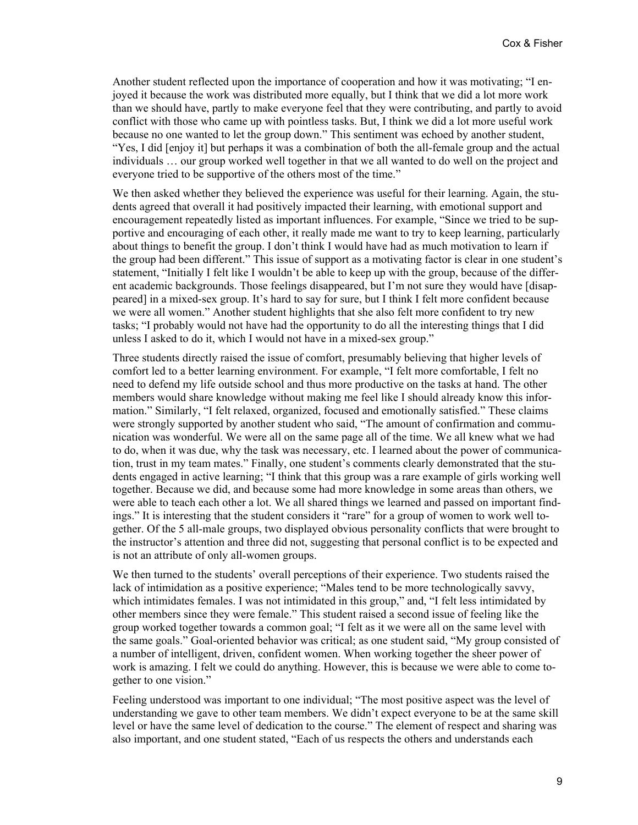Another student reflected upon the importance of cooperation and how it was motivating; "I enjoyed it because the work was distributed more equally, but I think that we did a lot more work than we should have, partly to make everyone feel that they were contributing, and partly to avoid conflict with those who came up with pointless tasks. But, I think we did a lot more useful work because no one wanted to let the group down." This sentiment was echoed by another student, "Yes, I did [enjoy it] but perhaps it was a combination of both the all-female group and the actual individuals … our group worked well together in that we all wanted to do well on the project and everyone tried to be supportive of the others most of the time."

We then asked whether they believed the experience was useful for their learning. Again, the students agreed that overall it had positively impacted their learning, with emotional support and encouragement repeatedly listed as important influences. For example, "Since we tried to be supportive and encouraging of each other, it really made me want to try to keep learning, particularly about things to benefit the group. I don't think I would have had as much motivation to learn if the group had been different." This issue of support as a motivating factor is clear in one student's statement, "Initially I felt like I wouldn't be able to keep up with the group, because of the different academic backgrounds. Those feelings disappeared, but I'm not sure they would have [disappeared] in a mixed-sex group. It's hard to say for sure, but I think I felt more confident because we were all women." Another student highlights that she also felt more confident to try new tasks; "I probably would not have had the opportunity to do all the interesting things that I did unless I asked to do it, which I would not have in a mixed-sex group."

Three students directly raised the issue of comfort, presumably believing that higher levels of comfort led to a better learning environment. For example, "I felt more comfortable, I felt no need to defend my life outside school and thus more productive on the tasks at hand. The other members would share knowledge without making me feel like I should already know this information." Similarly, "I felt relaxed, organized, focused and emotionally satisfied." These claims were strongly supported by another student who said, "The amount of confirmation and communication was wonderful. We were all on the same page all of the time. We all knew what we had to do, when it was due, why the task was necessary, etc. I learned about the power of communication, trust in my team mates." Finally, one student's comments clearly demonstrated that the students engaged in active learning; "I think that this group was a rare example of girls working well together. Because we did, and because some had more knowledge in some areas than others, we were able to teach each other a lot. We all shared things we learned and passed on important findings." It is interesting that the student considers it "rare" for a group of women to work well together. Of the 5 all-male groups, two displayed obvious personality conflicts that were brought to the instructor's attention and three did not, suggesting that personal conflict is to be expected and is not an attribute of only all-women groups.

We then turned to the students' overall perceptions of their experience. Two students raised the lack of intimidation as a positive experience; "Males tend to be more technologically savvy, which intimidates females. I was not intimidated in this group," and, "I felt less intimidated by other members since they were female." This student raised a second issue of feeling like the group worked together towards a common goal; "I felt as it we were all on the same level with the same goals." Goal-oriented behavior was critical; as one student said, "My group consisted of a number of intelligent, driven, confident women. When working together the sheer power of work is amazing. I felt we could do anything. However, this is because we were able to come together to one vision."

Feeling understood was important to one individual; "The most positive aspect was the level of understanding we gave to other team members. We didn't expect everyone to be at the same skill level or have the same level of dedication to the course." The element of respect and sharing was also important, and one student stated, "Each of us respects the others and understands each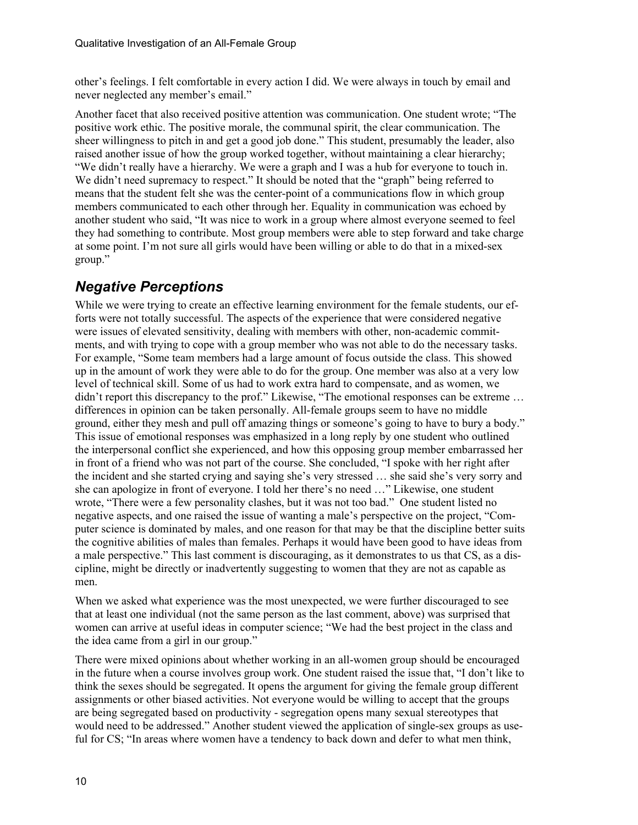other's feelings. I felt comfortable in every action I did. We were always in touch by email and never neglected any member's email."

Another facet that also received positive attention was communication. One student wrote; "The positive work ethic. The positive morale, the communal spirit, the clear communication. The sheer willingness to pitch in and get a good job done." This student, presumably the leader, also raised another issue of how the group worked together, without maintaining a clear hierarchy; "We didn't really have a hierarchy. We were a graph and I was a hub for everyone to touch in. We didn't need supremacy to respect." It should be noted that the "graph" being referred to means that the student felt she was the center-point of a communications flow in which group members communicated to each other through her. Equality in communication was echoed by another student who said, "It was nice to work in a group where almost everyone seemed to feel they had something to contribute. Most group members were able to step forward and take charge at some point. I'm not sure all girls would have been willing or able to do that in a mixed-sex group."

# *Negative Perceptions*

While we were trying to create an effective learning environment for the female students, our efforts were not totally successful. The aspects of the experience that were considered negative were issues of elevated sensitivity, dealing with members with other, non-academic commitments, and with trying to cope with a group member who was not able to do the necessary tasks. For example, "Some team members had a large amount of focus outside the class. This showed up in the amount of work they were able to do for the group. One member was also at a very low level of technical skill. Some of us had to work extra hard to compensate, and as women, we didn't report this discrepancy to the prof." Likewise, "The emotional responses can be extreme ... differences in opinion can be taken personally. All-female groups seem to have no middle ground, either they mesh and pull off amazing things or someone's going to have to bury a body." This issue of emotional responses was emphasized in a long reply by one student who outlined the interpersonal conflict she experienced, and how this opposing group member embarrassed her in front of a friend who was not part of the course. She concluded, "I spoke with her right after the incident and she started crying and saying she's very stressed … she said she's very sorry and she can apologize in front of everyone. I told her there's no need …" Likewise, one student wrote, "There were a few personality clashes, but it was not too bad." One student listed no negative aspects, and one raised the issue of wanting a male's perspective on the project, "Computer science is dominated by males, and one reason for that may be that the discipline better suits the cognitive abilities of males than females. Perhaps it would have been good to have ideas from a male perspective." This last comment is discouraging, as it demonstrates to us that CS, as a discipline, might be directly or inadvertently suggesting to women that they are not as capable as men.

When we asked what experience was the most unexpected, we were further discouraged to see that at least one individual (not the same person as the last comment, above) was surprised that women can arrive at useful ideas in computer science; "We had the best project in the class and the idea came from a girl in our group."

There were mixed opinions about whether working in an all-women group should be encouraged in the future when a course involves group work. One student raised the issue that, "I don't like to think the sexes should be segregated. It opens the argument for giving the female group different assignments or other biased activities. Not everyone would be willing to accept that the groups are being segregated based on productivity - segregation opens many sexual stereotypes that would need to be addressed." Another student viewed the application of single-sex groups as useful for CS; "In areas where women have a tendency to back down and defer to what men think,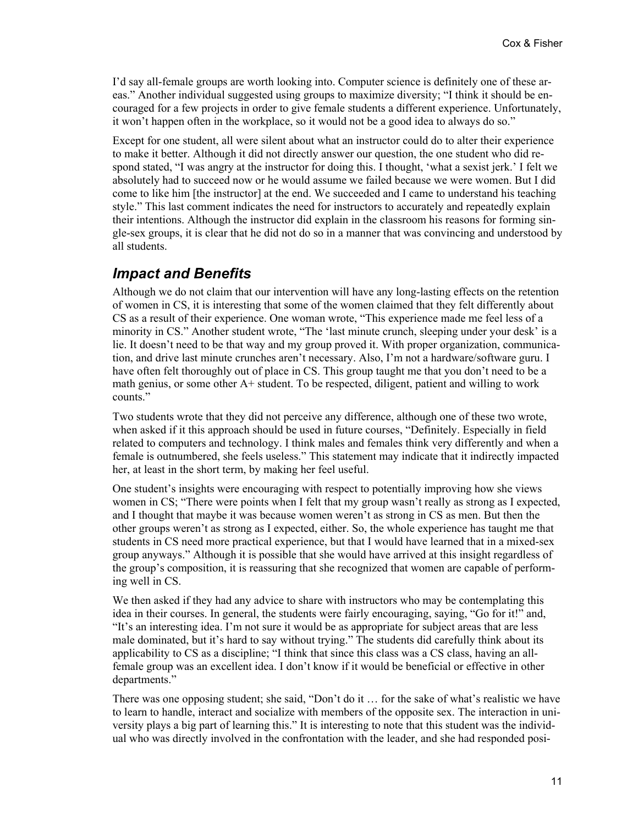I'd say all-female groups are worth looking into. Computer science is definitely one of these areas." Another individual suggested using groups to maximize diversity; "I think it should be encouraged for a few projects in order to give female students a different experience. Unfortunately, it won't happen often in the workplace, so it would not be a good idea to always do so."

Except for one student, all were silent about what an instructor could do to alter their experience to make it better. Although it did not directly answer our question, the one student who did respond stated, "I was angry at the instructor for doing this. I thought, 'what a sexist jerk.' I felt we absolutely had to succeed now or he would assume we failed because we were women. But I did come to like him [the instructor] at the end. We succeeded and I came to understand his teaching style." This last comment indicates the need for instructors to accurately and repeatedly explain their intentions. Although the instructor did explain in the classroom his reasons for forming single-sex groups, it is clear that he did not do so in a manner that was convincing and understood by all students.

#### *Impact and Benefits*

Although we do not claim that our intervention will have any long-lasting effects on the retention of women in CS, it is interesting that some of the women claimed that they felt differently about CS as a result of their experience. One woman wrote, "This experience made me feel less of a minority in CS." Another student wrote, "The 'last minute crunch, sleeping under your desk' is a lie. It doesn't need to be that way and my group proved it. With proper organization, communication, and drive last minute crunches aren't necessary. Also, I'm not a hardware/software guru. I have often felt thoroughly out of place in CS. This group taught me that you don't need to be a math genius, or some other A+ student. To be respected, diligent, patient and willing to work counts."

Two students wrote that they did not perceive any difference, although one of these two wrote, when asked if it this approach should be used in future courses, "Definitely. Especially in field related to computers and technology. I think males and females think very differently and when a female is outnumbered, she feels useless." This statement may indicate that it indirectly impacted her, at least in the short term, by making her feel useful.

One student's insights were encouraging with respect to potentially improving how she views women in CS; "There were points when I felt that my group wasn't really as strong as I expected, and I thought that maybe it was because women weren't as strong in CS as men. But then the other groups weren't as strong as I expected, either. So, the whole experience has taught me that students in CS need more practical experience, but that I would have learned that in a mixed-sex group anyways." Although it is possible that she would have arrived at this insight regardless of the group's composition, it is reassuring that she recognized that women are capable of performing well in CS.

We then asked if they had any advice to share with instructors who may be contemplating this idea in their courses. In general, the students were fairly encouraging, saying, "Go for it!" and, "It's an interesting idea. I'm not sure it would be as appropriate for subject areas that are less male dominated, but it's hard to say without trying." The students did carefully think about its applicability to CS as a discipline; "I think that since this class was a CS class, having an allfemale group was an excellent idea. I don't know if it would be beneficial or effective in other departments."

There was one opposing student; she said, "Don't do it … for the sake of what's realistic we have to learn to handle, interact and socialize with members of the opposite sex. The interaction in university plays a big part of learning this." It is interesting to note that this student was the individual who was directly involved in the confrontation with the leader, and she had responded posi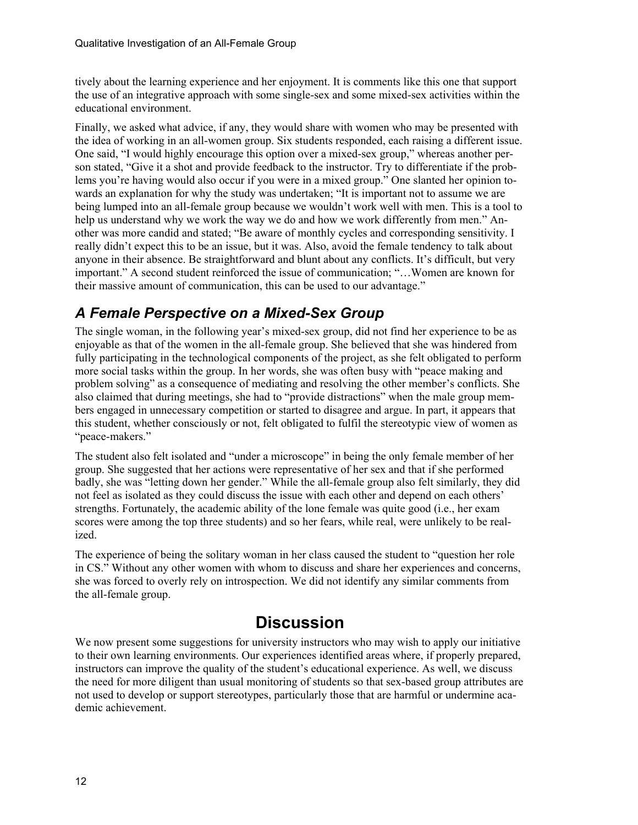tively about the learning experience and her enjoyment. It is comments like this one that support the use of an integrative approach with some single-sex and some mixed-sex activities within the educational environment.

Finally, we asked what advice, if any, they would share with women who may be presented with the idea of working in an all-women group. Six students responded, each raising a different issue. One said, "I would highly encourage this option over a mixed-sex group," whereas another person stated, "Give it a shot and provide feedback to the instructor. Try to differentiate if the problems you're having would also occur if you were in a mixed group." One slanted her opinion towards an explanation for why the study was undertaken; "It is important not to assume we are being lumped into an all-female group because we wouldn't work well with men. This is a tool to help us understand why we work the way we do and how we work differently from men." Another was more candid and stated; "Be aware of monthly cycles and corresponding sensitivity. I really didn't expect this to be an issue, but it was. Also, avoid the female tendency to talk about anyone in their absence. Be straightforward and blunt about any conflicts. It's difficult, but very important." A second student reinforced the issue of communication; "…Women are known for their massive amount of communication, this can be used to our advantage."

# *A Female Perspective on a Mixed-Sex Group*

The single woman, in the following year's mixed-sex group, did not find her experience to be as enjoyable as that of the women in the all-female group. She believed that she was hindered from fully participating in the technological components of the project, as she felt obligated to perform more social tasks within the group. In her words, she was often busy with "peace making and problem solving" as a consequence of mediating and resolving the other member's conflicts. She also claimed that during meetings, she had to "provide distractions" when the male group members engaged in unnecessary competition or started to disagree and argue. In part, it appears that this student, whether consciously or not, felt obligated to fulfil the stereotypic view of women as "peace-makers."

The student also felt isolated and "under a microscope" in being the only female member of her group. She suggested that her actions were representative of her sex and that if she performed badly, she was "letting down her gender." While the all-female group also felt similarly, they did not feel as isolated as they could discuss the issue with each other and depend on each others' strengths. Fortunately, the academic ability of the lone female was quite good (i.e., her exam scores were among the top three students) and so her fears, while real, were unlikely to be realized.

The experience of being the solitary woman in her class caused the student to "question her role in CS." Without any other women with whom to discuss and share her experiences and concerns, she was forced to overly rely on introspection. We did not identify any similar comments from the all-female group.

# **Discussion**

We now present some suggestions for university instructors who may wish to apply our initiative to their own learning environments. Our experiences identified areas where, if properly prepared, instructors can improve the quality of the student's educational experience. As well, we discuss the need for more diligent than usual monitoring of students so that sex-based group attributes are not used to develop or support stereotypes, particularly those that are harmful or undermine academic achievement.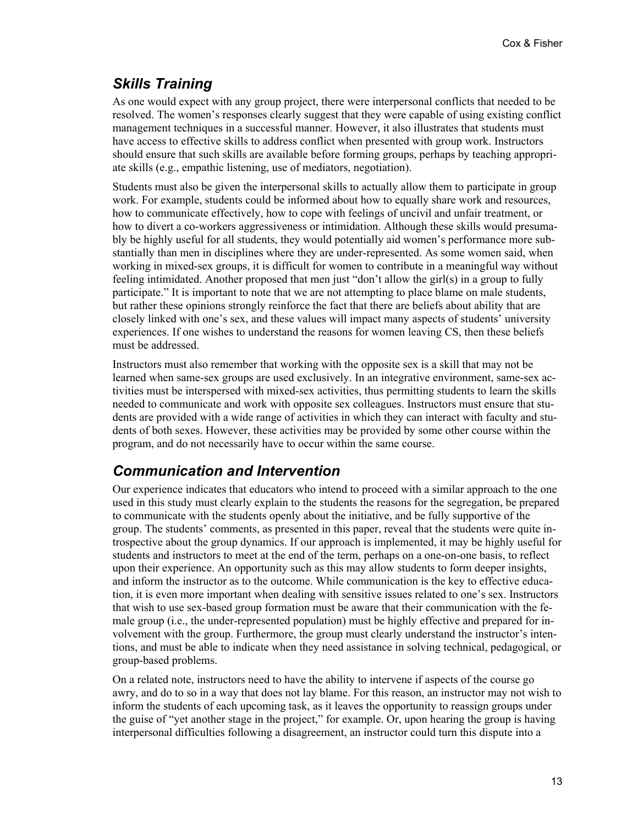## *Skills Training*

As one would expect with any group project, there were interpersonal conflicts that needed to be resolved. The women's responses clearly suggest that they were capable of using existing conflict management techniques in a successful manner. However, it also illustrates that students must have access to effective skills to address conflict when presented with group work. Instructors should ensure that such skills are available before forming groups, perhaps by teaching appropriate skills (e.g., empathic listening, use of mediators, negotiation).

Students must also be given the interpersonal skills to actually allow them to participate in group work. For example, students could be informed about how to equally share work and resources, how to communicate effectively, how to cope with feelings of uncivil and unfair treatment, or how to divert a co-workers aggressiveness or intimidation. Although these skills would presumably be highly useful for all students, they would potentially aid women's performance more substantially than men in disciplines where they are under-represented. As some women said, when working in mixed-sex groups, it is difficult for women to contribute in a meaningful way without feeling intimidated. Another proposed that men just "don't allow the girl(s) in a group to fully participate." It is important to note that we are not attempting to place blame on male students, but rather these opinions strongly reinforce the fact that there are beliefs about ability that are closely linked with one's sex, and these values will impact many aspects of students' university experiences. If one wishes to understand the reasons for women leaving CS, then these beliefs must be addressed.

Instructors must also remember that working with the opposite sex is a skill that may not be learned when same-sex groups are used exclusively. In an integrative environment, same-sex activities must be interspersed with mixed-sex activities, thus permitting students to learn the skills needed to communicate and work with opposite sex colleagues. Instructors must ensure that students are provided with a wide range of activities in which they can interact with faculty and students of both sexes. However, these activities may be provided by some other course within the program, and do not necessarily have to occur within the same course.

### *Communication and Intervention*

Our experience indicates that educators who intend to proceed with a similar approach to the one used in this study must clearly explain to the students the reasons for the segregation, be prepared to communicate with the students openly about the initiative, and be fully supportive of the group. The students' comments, as presented in this paper, reveal that the students were quite introspective about the group dynamics. If our approach is implemented, it may be highly useful for students and instructors to meet at the end of the term, perhaps on a one-on-one basis, to reflect upon their experience. An opportunity such as this may allow students to form deeper insights, and inform the instructor as to the outcome. While communication is the key to effective education, it is even more important when dealing with sensitive issues related to one's sex. Instructors that wish to use sex-based group formation must be aware that their communication with the female group (i.e., the under-represented population) must be highly effective and prepared for involvement with the group. Furthermore, the group must clearly understand the instructor's intentions, and must be able to indicate when they need assistance in solving technical, pedagogical, or group-based problems.

On a related note, instructors need to have the ability to intervene if aspects of the course go awry, and do to so in a way that does not lay blame. For this reason, an instructor may not wish to inform the students of each upcoming task, as it leaves the opportunity to reassign groups under the guise of "yet another stage in the project," for example. Or, upon hearing the group is having interpersonal difficulties following a disagreement, an instructor could turn this dispute into a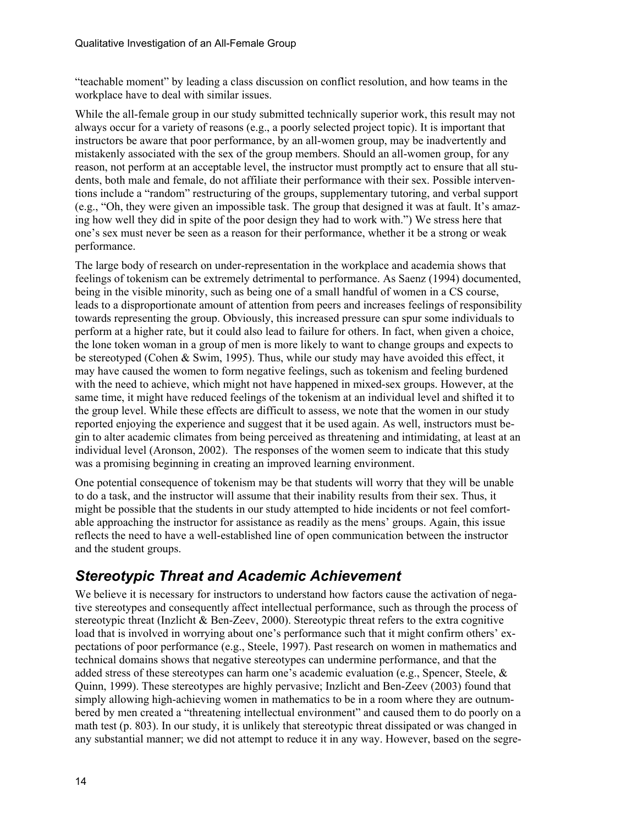"teachable moment" by leading a class discussion on conflict resolution, and how teams in the workplace have to deal with similar issues.

While the all-female group in our study submitted technically superior work, this result may not always occur for a variety of reasons (e.g., a poorly selected project topic). It is important that instructors be aware that poor performance, by an all-women group, may be inadvertently and mistakenly associated with the sex of the group members. Should an all-women group, for any reason, not perform at an acceptable level, the instructor must promptly act to ensure that all students, both male and female, do not affiliate their performance with their sex. Possible interventions include a "random" restructuring of the groups, supplementary tutoring, and verbal support (e.g., "Oh, they were given an impossible task. The group that designed it was at fault. It's amazing how well they did in spite of the poor design they had to work with.") We stress here that one's sex must never be seen as a reason for their performance, whether it be a strong or weak performance.

The large body of research on under-representation in the workplace and academia shows that feelings of tokenism can be extremely detrimental to performance. As Saenz (1994) documented, being in the visible minority, such as being one of a small handful of women in a CS course, leads to a disproportionate amount of attention from peers and increases feelings of responsibility towards representing the group. Obviously, this increased pressure can spur some individuals to perform at a higher rate, but it could also lead to failure for others. In fact, when given a choice, the lone token woman in a group of men is more likely to want to change groups and expects to be stereotyped (Cohen & Swim, 1995). Thus, while our study may have avoided this effect, it may have caused the women to form negative feelings, such as tokenism and feeling burdened with the need to achieve, which might not have happened in mixed-sex groups. However, at the same time, it might have reduced feelings of the tokenism at an individual level and shifted it to the group level. While these effects are difficult to assess, we note that the women in our study reported enjoying the experience and suggest that it be used again. As well, instructors must begin to alter academic climates from being perceived as threatening and intimidating, at least at an individual level (Aronson, 2002). The responses of the women seem to indicate that this study was a promising beginning in creating an improved learning environment.

One potential consequence of tokenism may be that students will worry that they will be unable to do a task, and the instructor will assume that their inability results from their sex. Thus, it might be possible that the students in our study attempted to hide incidents or not feel comfortable approaching the instructor for assistance as readily as the mens' groups. Again, this issue reflects the need to have a well-established line of open communication between the instructor and the student groups.

## *Stereotypic Threat and Academic Achievement*

We believe it is necessary for instructors to understand how factors cause the activation of negative stereotypes and consequently affect intellectual performance, such as through the process of stereotypic threat (Inzlicht & Ben-Zeev, 2000). Stereotypic threat refers to the extra cognitive load that is involved in worrying about one's performance such that it might confirm others' expectations of poor performance (e.g., Steele, 1997). Past research on women in mathematics and technical domains shows that negative stereotypes can undermine performance, and that the added stress of these stereotypes can harm one's academic evaluation (e.g., Spencer, Steele,  $\&$ Quinn, 1999). These stereotypes are highly pervasive; Inzlicht and Ben-Zeev (2003) found that simply allowing high-achieving women in mathematics to be in a room where they are outnumbered by men created a "threatening intellectual environment" and caused them to do poorly on a math test (p. 803). In our study, it is unlikely that stereotypic threat dissipated or was changed in any substantial manner; we did not attempt to reduce it in any way. However, based on the segre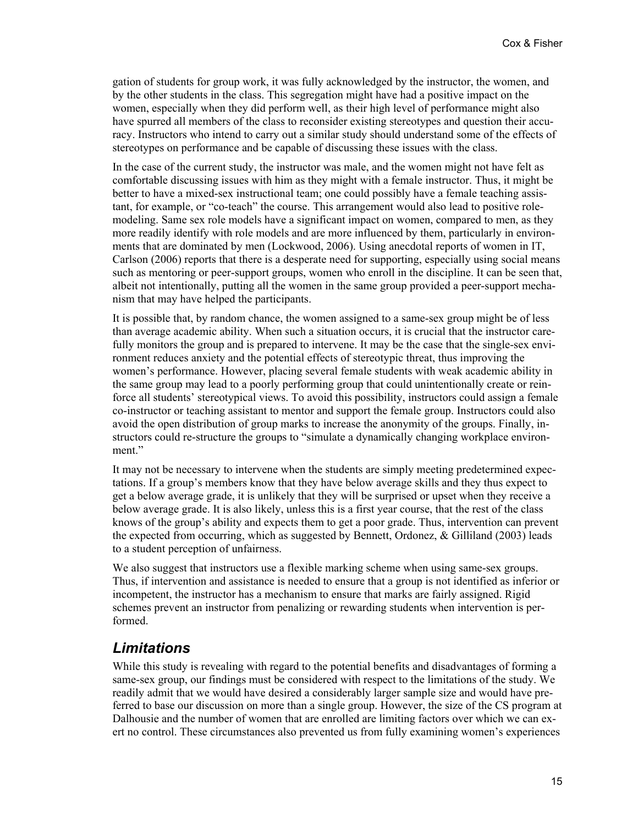gation of students for group work, it was fully acknowledged by the instructor, the women, and by the other students in the class. This segregation might have had a positive impact on the women, especially when they did perform well, as their high level of performance might also have spurred all members of the class to reconsider existing stereotypes and question their accuracy. Instructors who intend to carry out a similar study should understand some of the effects of stereotypes on performance and be capable of discussing these issues with the class.

In the case of the current study, the instructor was male, and the women might not have felt as comfortable discussing issues with him as they might with a female instructor. Thus, it might be better to have a mixed-sex instructional team; one could possibly have a female teaching assistant, for example, or "co-teach" the course. This arrangement would also lead to positive rolemodeling. Same sex role models have a significant impact on women, compared to men, as they more readily identify with role models and are more influenced by them, particularly in environments that are dominated by men (Lockwood, 2006). Using anecdotal reports of women in IT, Carlson (2006) reports that there is a desperate need for supporting, especially using social means such as mentoring or peer-support groups, women who enroll in the discipline. It can be seen that, albeit not intentionally, putting all the women in the same group provided a peer-support mechanism that may have helped the participants.

It is possible that, by random chance, the women assigned to a same-sex group might be of less than average academic ability. When such a situation occurs, it is crucial that the instructor carefully monitors the group and is prepared to intervene. It may be the case that the single-sex environment reduces anxiety and the potential effects of stereotypic threat, thus improving the women's performance. However, placing several female students with weak academic ability in the same group may lead to a poorly performing group that could unintentionally create or reinforce all students' stereotypical views. To avoid this possibility, instructors could assign a female co-instructor or teaching assistant to mentor and support the female group. Instructors could also avoid the open distribution of group marks to increase the anonymity of the groups. Finally, instructors could re-structure the groups to "simulate a dynamically changing workplace environment."

It may not be necessary to intervene when the students are simply meeting predetermined expectations. If a group's members know that they have below average skills and they thus expect to get a below average grade, it is unlikely that they will be surprised or upset when they receive a below average grade. It is also likely, unless this is a first year course, that the rest of the class knows of the group's ability and expects them to get a poor grade. Thus, intervention can prevent the expected from occurring, which as suggested by Bennett, Ordonez, & Gilliland (2003) leads to a student perception of unfairness.

We also suggest that instructors use a flexible marking scheme when using same-sex groups. Thus, if intervention and assistance is needed to ensure that a group is not identified as inferior or incompetent, the instructor has a mechanism to ensure that marks are fairly assigned. Rigid schemes prevent an instructor from penalizing or rewarding students when intervention is performed.

### *Limitations*

While this study is revealing with regard to the potential benefits and disadvantages of forming a same-sex group, our findings must be considered with respect to the limitations of the study. We readily admit that we would have desired a considerably larger sample size and would have preferred to base our discussion on more than a single group. However, the size of the CS program at Dalhousie and the number of women that are enrolled are limiting factors over which we can exert no control. These circumstances also prevented us from fully examining women's experiences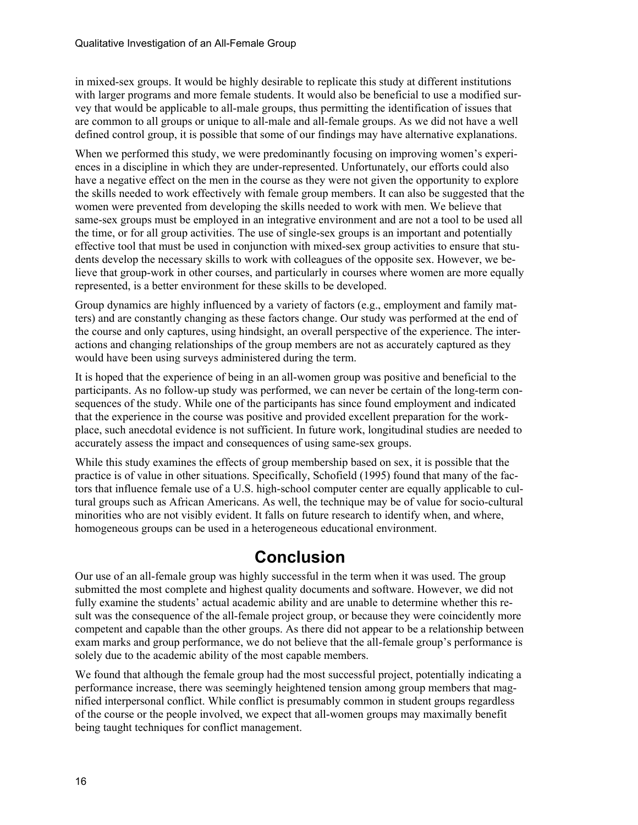in mixed-sex groups. It would be highly desirable to replicate this study at different institutions with larger programs and more female students. It would also be beneficial to use a modified survey that would be applicable to all-male groups, thus permitting the identification of issues that are common to all groups or unique to all-male and all-female groups. As we did not have a well defined control group, it is possible that some of our findings may have alternative explanations.

When we performed this study, we were predominantly focusing on improving women's experiences in a discipline in which they are under-represented. Unfortunately, our efforts could also have a negative effect on the men in the course as they were not given the opportunity to explore the skills needed to work effectively with female group members. It can also be suggested that the women were prevented from developing the skills needed to work with men. We believe that same-sex groups must be employed in an integrative environment and are not a tool to be used all the time, or for all group activities. The use of single-sex groups is an important and potentially effective tool that must be used in conjunction with mixed-sex group activities to ensure that students develop the necessary skills to work with colleagues of the opposite sex. However, we believe that group-work in other courses, and particularly in courses where women are more equally represented, is a better environment for these skills to be developed.

Group dynamics are highly influenced by a variety of factors (e.g., employment and family matters) and are constantly changing as these factors change. Our study was performed at the end of the course and only captures, using hindsight, an overall perspective of the experience. The interactions and changing relationships of the group members are not as accurately captured as they would have been using surveys administered during the term.

It is hoped that the experience of being in an all-women group was positive and beneficial to the participants. As no follow-up study was performed, we can never be certain of the long-term consequences of the study. While one of the participants has since found employment and indicated that the experience in the course was positive and provided excellent preparation for the workplace, such anecdotal evidence is not sufficient. In future work, longitudinal studies are needed to accurately assess the impact and consequences of using same-sex groups.

While this study examines the effects of group membership based on sex, it is possible that the practice is of value in other situations. Specifically, Schofield (1995) found that many of the factors that influence female use of a U.S. high-school computer center are equally applicable to cultural groups such as African Americans. As well, the technique may be of value for socio-cultural minorities who are not visibly evident. It falls on future research to identify when, and where, homogeneous groups can be used in a heterogeneous educational environment.

# **Conclusion**

Our use of an all-female group was highly successful in the term when it was used. The group submitted the most complete and highest quality documents and software. However, we did not fully examine the students' actual academic ability and are unable to determine whether this result was the consequence of the all-female project group, or because they were coincidently more competent and capable than the other groups. As there did not appear to be a relationship between exam marks and group performance, we do not believe that the all-female group's performance is solely due to the academic ability of the most capable members.

We found that although the female group had the most successful project, potentially indicating a performance increase, there was seemingly heightened tension among group members that magnified interpersonal conflict. While conflict is presumably common in student groups regardless of the course or the people involved, we expect that all-women groups may maximally benefit being taught techniques for conflict management.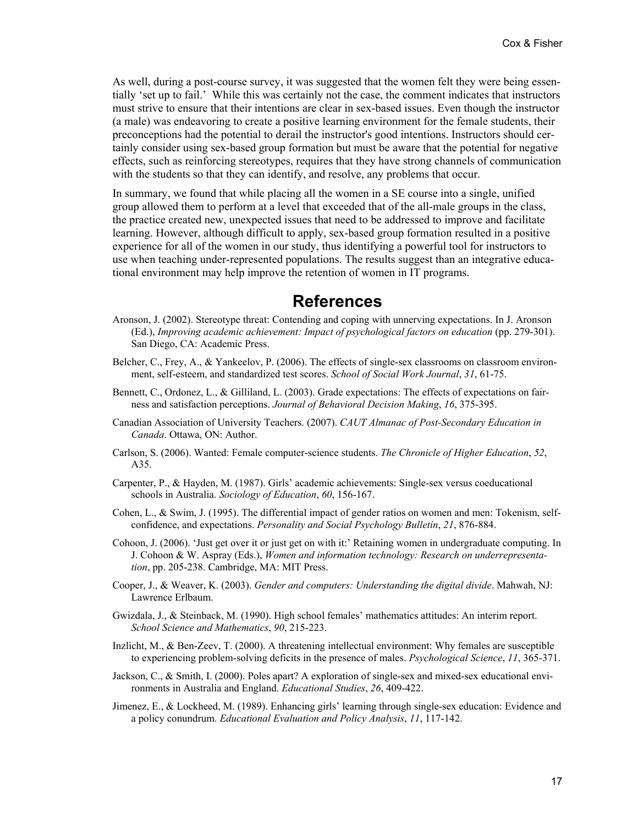As well, during a post-course survey, it was suggested that the women felt they were being essentially 'set up to fail.' While this was certainly not the case, the comment indicates that instructors must strive to ensure that their intentions are clear in sex-based issues. Even though the instructor (a male) was endeavoring to create a positive learning environment for the female students, their preconceptions had the potential to derail the instructor's good intentions. Instructors should certainly consider using sex-based group formation but must be aware that the potential for negative effects, such as reinforcing stereotypes, requires that they have strong channels of communication with the students so that they can identify, and resolve, any problems that occur.

In summary, we found that while placing all the women in a SE course into a single, unified group allowed them to perform at a level that exceeded that of the all-male groups in the class, the practice created new, unexpected issues that need to be addressed to improve and facilitate learning. However, although difficult to apply, sex-based group formation resulted in a positive experience for all of the women in our study, thus identifying a powerful tool for instructors to use when teaching under-represented populations. The results suggest than an integrative educational environment may help improve the retention of women in IT programs.

### **References**

- Aronson, J. (2002). Stereotype threat: Contending and coping with unnerving expectations. In J. Aronson (Ed.), *Improving academic achievement: Impact of psychological factors on education* (pp. 279-301). San Diego, CA: Academic Press.
- Belcher, C., Frey, A., & Yankeelov, P. (2006). The effects of single-sex classrooms on classroom environment, self-esteem, and standardized test scores. *School of Social Work Journal*, *31*, 61-75.
- Bennett, C., Ordonez, L., & Gilliland, L. (2003). Grade expectations: The effects of expectations on fairness and satisfaction perceptions. *Journal of Behavioral Decision Making*, *16*, 375-395.
- Canadian Association of University Teachers. (2007). *CAUT Almanac of Post-Secondary Education in Canada*. Ottawa, ON: Author.
- Carlson, S. (2006). Wanted: Female computer-science students. *The Chronicle of Higher Education*, *52*, A35.
- Carpenter, P., & Hayden, M. (1987). Girls' academic achievements: Single-sex versus coeducational schools in Australia. *Sociology of Education*, *60*, 156-167.
- Cohen, L., & Swim, J. (1995). The differential impact of gender ratios on women and men: Tokenism, selfconfidence, and expectations. *Personality and Social Psychology Bulletin*, *21*, 876-884.
- Cohoon, J. (2006). 'Just get over it or just get on with it:' Retaining women in undergraduate computing. In J. Cohoon & W. Aspray (Eds.), *Women and information technology: Research on underrepresentation*, pp. 205-238. Cambridge, MA: MIT Press.
- Cooper, J., & Weaver, K. (2003). *Gender and computers: Understanding the digital divide*. Mahwah, NJ: Lawrence Erlbaum.
- Gwizdala, J., & Steinback, M. (1990). High school females' mathematics attitudes: An interim report. *School Science and Mathematics*, *90*, 215-223.
- Inzlicht, M., & Ben-Zeev, T. (2000). A threatening intellectual environment: Why females are susceptible to experiencing problem-solving deficits in the presence of males. *Psychological Science*, *11*, 365-371.
- Jackson, C., & Smith, I. (2000). Poles apart? A exploration of single-sex and mixed-sex educational environments in Australia and England. *Educational Studies*, *26*, 409-422.
- Jimenez, E., & Lockheed, M. (1989). Enhancing girls' learning through single-sex education: Evidence and a policy conundrum. *Educational Evaluation and Policy Analysis*, *11*, 117-142.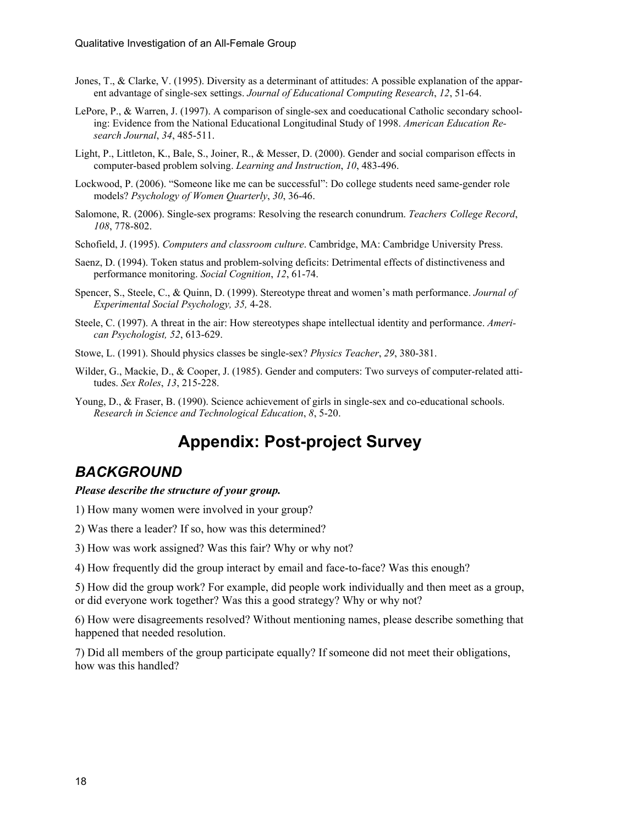- Jones, T., & Clarke, V. (1995). Diversity as a determinant of attitudes: A possible explanation of the apparent advantage of single-sex settings. *Journal of Educational Computing Research*, *12*, 51-64.
- LePore, P., & Warren, J. (1997). A comparison of single-sex and coeducational Catholic secondary schooling: Evidence from the National Educational Longitudinal Study of 1998. *American Education Research Journal*, *34*, 485-511.
- Light, P., Littleton, K., Bale, S., Joiner, R., & Messer, D. (2000). Gender and social comparison effects in computer-based problem solving. *Learning and Instruction*, *10*, 483-496.
- Lockwood, P. (2006). "Someone like me can be successful": Do college students need same-gender role models? *Psychology of Women Quarterly*, *30*, 36-46.
- Salomone, R. (2006). Single-sex programs: Resolving the research conundrum. *Teachers College Record*, *108*, 778-802.
- Schofield, J. (1995). *Computers and classroom culture*. Cambridge, MA: Cambridge University Press.
- Saenz, D. (1994). Token status and problem-solving deficits: Detrimental effects of distinctiveness and performance monitoring. *Social Cognition*, *12*, 61-74.
- Spencer, S., Steele, C., & Quinn, D. (1999). Stereotype threat and women's math performance. *Journal of Experimental Social Psychology, 35,* 4-28.
- Steele, C. (1997). A threat in the air: How stereotypes shape intellectual identity and performance. *American Psychologist, 52*, 613-629.
- Stowe, L. (1991). Should physics classes be single-sex? *Physics Teacher*, *29*, 380-381.
- Wilder, G., Mackie, D., & Cooper, J. (1985). Gender and computers: Two surveys of computer-related attitudes. *Sex Roles*, *13*, 215-228.
- Young, D., & Fraser, B. (1990). Science achievement of girls in single-sex and co-educational schools. *Research in Science and Technological Education*, *8*, 5-20.

# **Appendix: Post-project Survey**

#### *BACKGROUND*

#### *Please describe the structure of your group.*

- 1) How many women were involved in your group?
- 2) Was there a leader? If so, how was this determined?
- 3) How was work assigned? Was this fair? Why or why not?
- 4) How frequently did the group interact by email and face-to-face? Was this enough?

5) How did the group work? For example, did people work individually and then meet as a group, or did everyone work together? Was this a good strategy? Why or why not?

6) How were disagreements resolved? Without mentioning names, please describe something that happened that needed resolution.

7) Did all members of the group participate equally? If someone did not meet their obligations, how was this handled?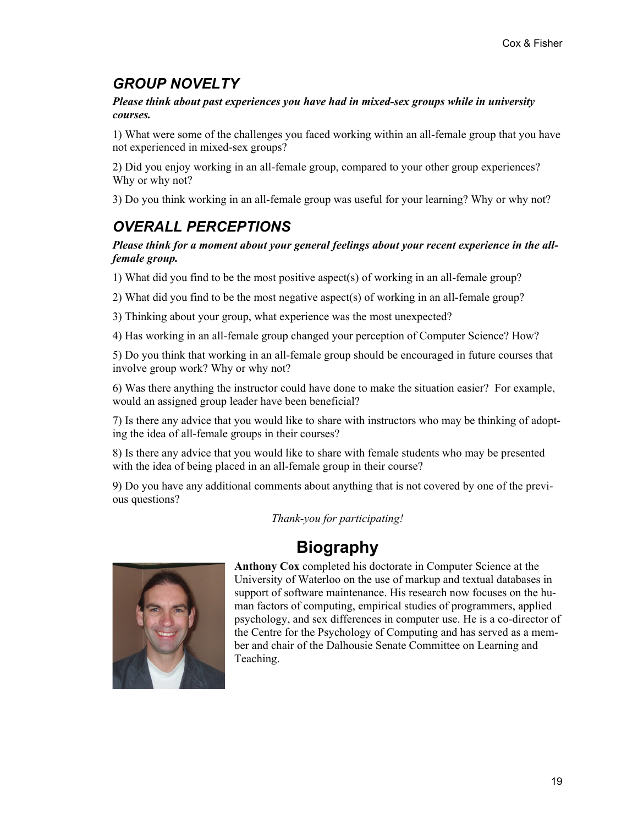# *GROUP NOVELTY*

*Please think about past experiences you have had in mixed-sex groups while in university courses.* 

1) What were some of the challenges you faced working within an all-female group that you have not experienced in mixed-sex groups?

2) Did you enjoy working in an all-female group, compared to your other group experiences? Why or why not?

3) Do you think working in an all-female group was useful for your learning? Why or why not?

# *OVERALL PERCEPTIONS*

#### *Please think for a moment about your general feelings about your recent experience in the allfemale group.*

1) What did you find to be the most positive aspect(s) of working in an all-female group?

2) What did you find to be the most negative aspect(s) of working in an all-female group?

3) Thinking about your group, what experience was the most unexpected?

4) Has working in an all-female group changed your perception of Computer Science? How?

5) Do you think that working in an all-female group should be encouraged in future courses that involve group work? Why or why not?

6) Was there anything the instructor could have done to make the situation easier? For example, would an assigned group leader have been beneficial?

7) Is there any advice that you would like to share with instructors who may be thinking of adopting the idea of all-female groups in their courses?

8) Is there any advice that you would like to share with female students who may be presented with the idea of being placed in an all-female group in their course?

9) Do you have any additional comments about anything that is not covered by one of the previous questions?

*Thank-you for participating!* 

# **Biography**



**Anthony Cox** completed his doctorate in Computer Science at the University of Waterloo on the use of markup and textual databases in support of software maintenance. His research now focuses on the human factors of computing, empirical studies of programmers, applied psychology, and sex differences in computer use. He is a co-director of the Centre for the Psychology of Computing and has served as a member and chair of the Dalhousie Senate Committee on Learning and Teaching.